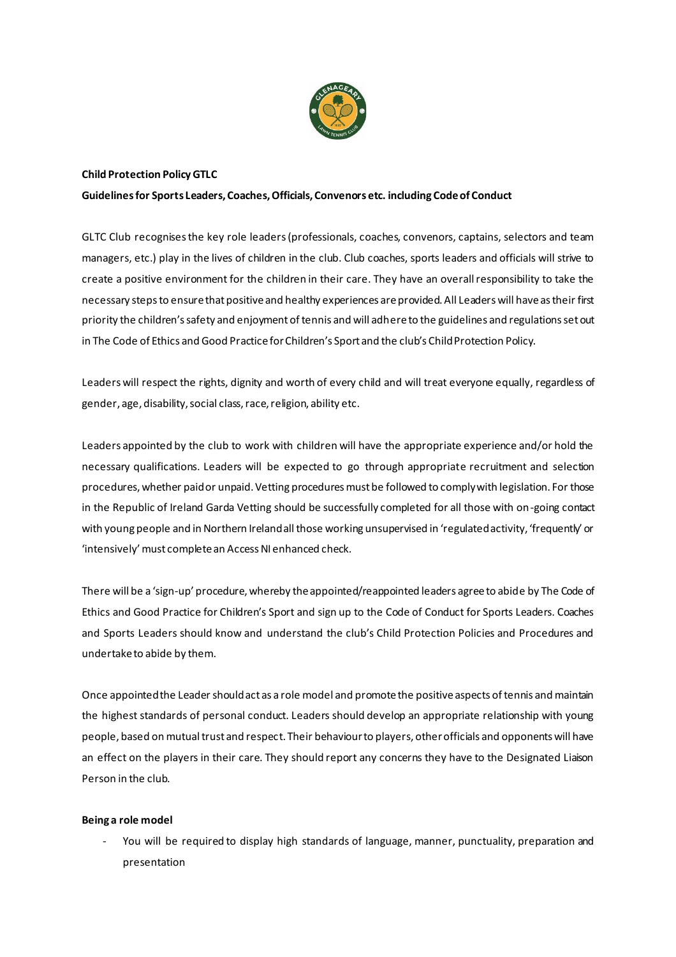

## **Child Protection Policy GTLC**

### **Guidelines for Sports Leaders, Coaches, Officials, Convenors etc. including Code of Conduct**

GLTC Club recognises the key role leaders (professionals, coaches, convenors, captains, selectors and team managers, etc.) play in the lives of children in the club. Club coaches, sports leaders and officials will strive to create a positive environment for the children in their care. They have an overall responsibility to take the necessary steps to ensure that positive and healthy experiences are provided. All Leaders will have as their first priority the children's safety and enjoyment of tennis and will adhere to the guidelines and regulations set out in The Code of Ethics and Good Practice for Children's Sport and the club's Child Protection Policy.

Leaders will respect the rights, dignity and worth of every child and will treat everyone equally, regardless of gender, age, disability, social class, race, religion, ability etc.

Leaders appointed by the club to work with children will have the appropriate experience and/or hold the necessary qualifications. Leaders will be expected to go through appropriate recruitment and selection procedures, whether paid or unpaid. Vetting procedures must be followed to comply with legislation. For those in the Republic of Ireland Garda Vetting should be successfully completed for all those with on-going contact with young people and in Northern Ireland all those working unsupervised in 'regulated activity, 'frequently' or 'intensively' must complete an Access NI enhanced check.

There will be a 'sign-up' procedure, whereby the appointed/reappointed leaders agree to abide by The Code of Ethics and Good Practice for Children's Sport and sign up to the Code of Conduct for Sports Leaders. Coaches and Sports Leaders should know and understand the club's Child Protection Policies and Procedures and undertake to abide by them.

Once appointed the Leader should act as a role model and promote the positive aspects of tennis and maintain the highest standards of personal conduct. Leaders should develop an appropriate relationship with young people, based on mutual trust and respect. Their behaviour to players, other officials and opponents will have an effect on the players in their care. They should report any concerns they have to the Designated Liaison Person in the club.

#### **Being a role model**

You will be required to display high standards of language, manner, punctuality, preparation and presentation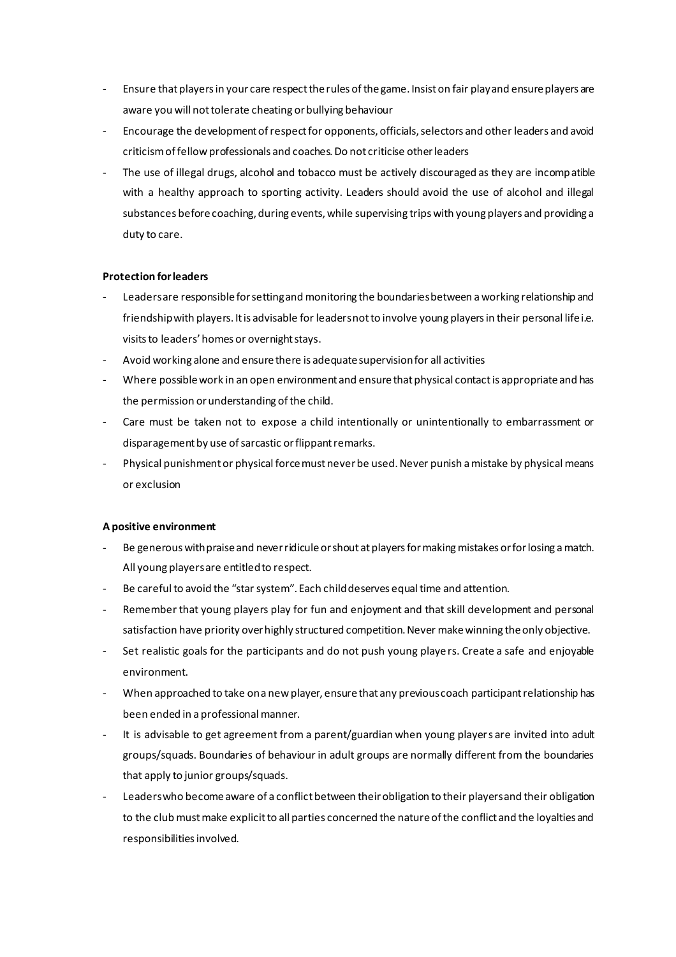- Ensure that players in your care respect the rules of the game. Insist on fair play and ensure players are aware you will not tolerate cheating or bullying behaviour
- Encourage the development of respect for opponents, officials, selectors and other leaders and avoid criticism of fellow professionals and coaches. Do not criticise other leaders
- The use of illegal drugs, alcohol and tobacco must be actively discouraged as they are incompatible with a healthy approach to sporting activity. Leaders should avoid the use of alcohol and illegal substances before coaching, during events, while supervising trips with young players and providing a duty to care.

### **Protection for leaders**

- Leaders are responsible for setting and monitoring the boundaries between a working relationship and friendship with players. It is advisable for leaders not to involve young players in their personal life i.e. visits to leaders' homes or overnight stays.
- Avoid working alone and ensure there is adequate supervision for all activities
- Where possible work in an open environment and ensure that physical contact is appropriate and has the permission or understanding of the child.
- Care must be taken not to expose a child intentionally or unintentionally to embarrassment or disparagement by use of sarcastic or flippant remarks.
- Physical punishment or physical force must never be used. Never punish a mistake by physical means or exclusion

## **A positive environment**

- Be generous with praise and never ridicule or shout at players for making mistakes or for losing a match. All young players are entitled to respect.
- Be careful to avoid the "star system". Each child deserves equal time and attention.
- Remember that young players play for fun and enjoyment and that skill development and personal satisfaction have priority over highly structured competition. Never make winning the only objective.
- Set realistic goals for the participants and do not push young players. Create a safe and enjoyable environment.
- When approached to take on a new player, ensure that any previous coach participant relationship has been ended in a professional manner.
- It is advisable to get agreement from a parent/guardian when young players are invited into adult groups/squads. Boundaries of behaviour in adult groups are normally different from the boundaries that apply to junior groups/squads.
- Leaders who become aware of a conflict between their obligation to their players and their obligation to the club must make explicit to all parties concerned the nature of the conflict and the loyalties and responsibilities involved.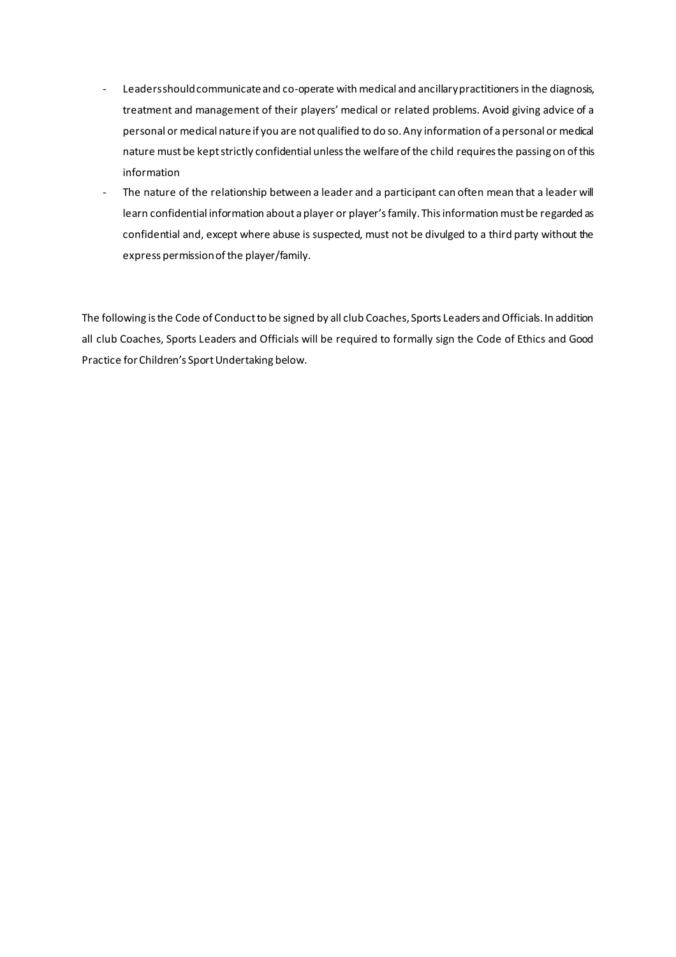- Leaders should communicate and co-operate with medical and ancillary practitioners in the diagnosis, treatment and management of their players' medical or related problems. Avoid giving advice of a personal or medical nature if you are not qualified to do so. Any information of a personal or medical nature must be kept strictly confidential unless the welfare of the child requires the passing on of this information
- The nature of the relationship between a leader and a participant can often mean that a leader will learn confidential information about a player or player's family. This information must be regarded as confidential and, except where abuse is suspected, must not be divulged to a third party without the express permission of the player/family.

The following is the Code of Conduct to be signed by all club Coaches, Sports Leaders and Officials. In addition all club Coaches, Sports Leaders and Officials will be required to formally sign the Code of Ethics and Good Practice for Children's Sport Undertaking below.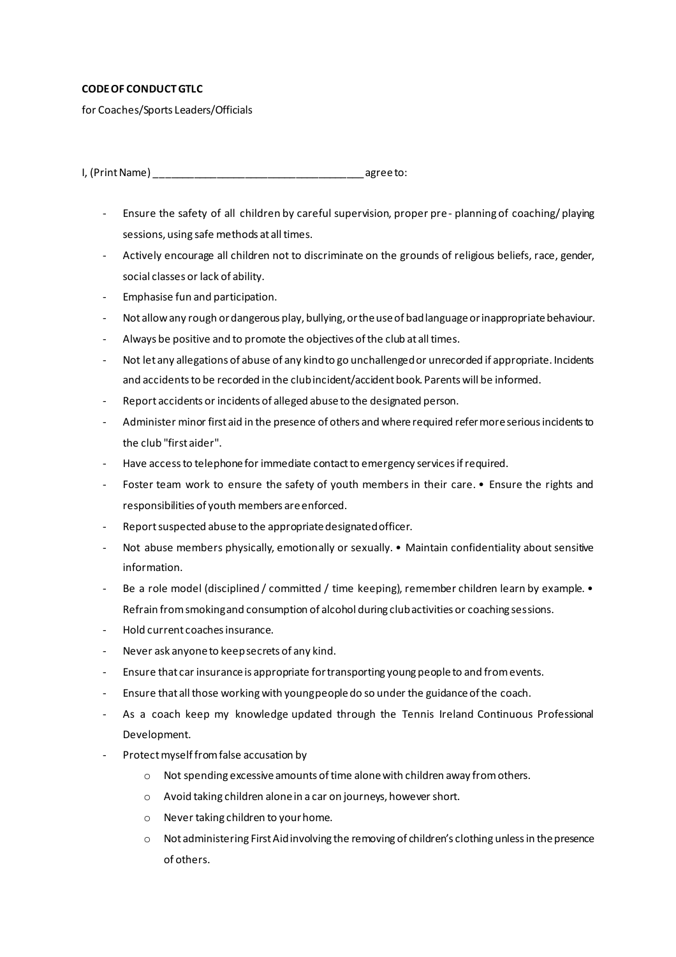## **CODE OF CONDUCTGTLC**

for Coaches/Sports Leaders/Officials

I, (Print Name) and the set of the set of the set of the set of the set of the set of the set of the set of the set of the set of the set of the set of the set of the set of the set of the set of the set of the set of the

- Ensure the safety of all children by careful supervision, proper pre- planning of coaching/ playing sessions, using safe methods at all times.
- Actively encourage all children not to discriminate on the grounds of religious beliefs, race, gender, social classes or lack of ability.
- Emphasise fun and participation.
- Not allow any rough or dangerous play, bullying, or the use of bad language or inappropriate behaviour.
- Always be positive and to promote the objectives of the club at all times.
- Not let any allegations of abuse of any kind to go unchallenged or unrecorded if appropriate. Incidents and accidents to be recorded in the club incident/accident book. Parents will be informed.
- Report accidents or incidents of alleged abuse to the designated person.
- Administer minor first aid in the presence of others and where required refer more serious incidents to the club "first aider".
- Have access to telephone for immediate contact to emergency services if required.
- Foster team work to ensure the safety of youth members in their care. Ensure the rights and responsibilities of youth members are enforced.
- Report suspected abuse to the appropriate designated officer.
- Not abuse members physically, emotionally or sexually. Maintain confidentiality about sensitive information.
- Be a role model (disciplined / committed / time keeping), remember children learn by example. Refrain from smoking and consumption of alcohol during club activities or coaching sessions.
- Hold current coaches insurance.
- Never ask anyone to keep secrets of any kind.
- Ensure that car insurance is appropriate for transporting young people to and from events.
- Ensure that all those working with young people do so under the guidance of the coach.
- As a coach keep my knowledge updated through the Tennis Ireland Continuous Professional Development.
- Protect myself from false accusation by
	- o Not spending excessive amounts of time alone with children away from others.
	- o Avoid taking children alone in a car on journeys, however short.
	- o Never taking children to your home.
	- $\circ$  Not administering First Aid involving the removing of children's clothing unless in the presence of others.